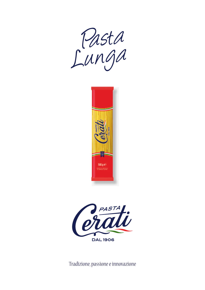





Tradizione, passione e innovazione